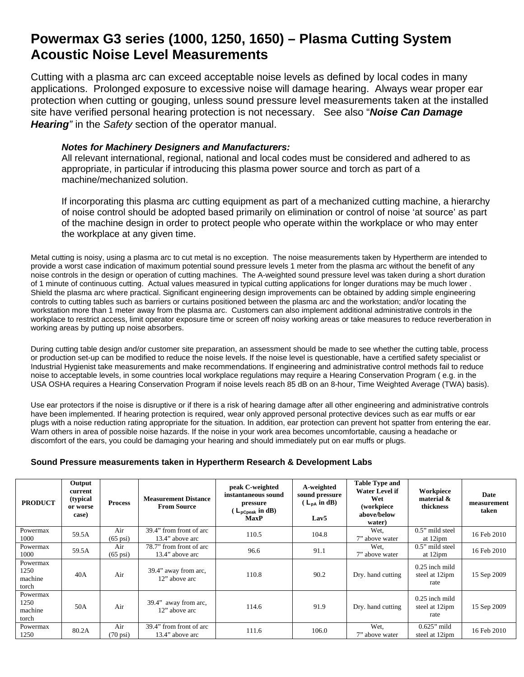## **Powermax G3 series (1000, 1250, 1650) – Plasma Cutting System Acoustic Noise Level Measurements**

Cutting with a plasma arc can exceed acceptable noise levels as defined by local codes in many applications. Prolonged exposure to excessive noise will damage hearing. Always wear proper ear protection when cutting or gouging, unless sound pressure level measurements taken at the installed site have verified personal hearing protection is not necessary. See also "*Noise Can Damage Hearing"* in the *Safety* section of the operator manual.

## *Notes for Machinery Designers and Manufacturers:*

All relevant international, regional, national and local codes must be considered and adhered to as appropriate, in particular if introducing this plasma power source and torch as part of a machine/mechanized solution.

If incorporating this plasma arc cutting equipment as part of a mechanized cutting machine, a hierarchy of noise control should be adopted based primarily on elimination or control of noise 'at source' as part of the machine design in order to protect people who operate within the workplace or who may enter the workplace at any given time.

Metal cutting is noisy, using a plasma arc to cut metal is no exception. The noise measurements taken by Hypertherm are intended to provide a worst case indication of maximum potential sound pressure levels 1 meter from the plasma arc without the benefit of any noise controls in the design or operation of cutting machines. The A-weighted sound pressure level was taken during a short duration of 1 minute of continuous cutting. Actual values measured in typical cutting applications for longer durations may be much lower . Shield the plasma arc where practical. Significant engineering design improvements can be obtained by adding simple engineering controls to cutting tables such as barriers or curtains positioned between the plasma arc and the workstation; and/or locating the workstation more than 1 meter away from the plasma arc. Customers can also implement additional administrative controls in the workplace to restrict access, limit operator exposure time or screen off noisy working areas or take measures to reduce reverberation in working areas by putting up noise absorbers.

During cutting table design and/or customer site preparation, an assessment should be made to see whether the cutting table, process or production set-up can be modified to reduce the noise levels. If the noise level is questionable, have a certified safety specialist or Industrial Hygienist take measurements and make recommendations. If engineering and administrative control methods fail to reduce noise to acceptable levels, in some countries local workplace regulations may require a Hearing Conservation Program ( e.g. in the USA OSHA requires a Hearing Conservation Program if noise levels reach 85 dB on an 8-hour, Time Weighted Average (TWA) basis).

Use ear protectors if the noise is disruptive or if there is a risk of hearing damage after all other engineering and administrative controls have been implemented. If hearing protection is required, wear only approved personal protective devices such as ear muffs or ear plugs with a noise reduction rating appropriate for the situation. In addition, ear protection can prevent hot spatter from entering the ear. Warn others in area of possible noise hazards. If the noise in your work area becomes uncomfortable, causing a headache or discomfort of the ears, you could be damaging your hearing and should immediately put on ear muffs or plugs.

## **Sound Pressure measurements taken in Hypertherm Research & Development Labs**

| <b>PRODUCT</b>                       | Output<br>current<br>(typical)<br>or worse<br>case) | <b>Process</b>            | <b>Measurement Distance</b><br><b>From Source</b> | peak C-weighted<br>instantaneous sound<br>pressure<br>$(L_{\text{pCpeak}} \text{ in dB})$<br><b>MaxP</b> | A-weighted<br>sound pressure<br>$(L_{DA}$ in dB)<br>Lav <sub>5</sub> | <b>Table Type and</b><br>Water Level if<br>Wet<br>(workpiece<br>above/below<br>water) | Workpiece<br>material &<br>thickness       | Date<br>measurement<br>taken |
|--------------------------------------|-----------------------------------------------------|---------------------------|---------------------------------------------------|----------------------------------------------------------------------------------------------------------|----------------------------------------------------------------------|---------------------------------------------------------------------------------------|--------------------------------------------|------------------------------|
| Powermax<br>1000                     | 59.5A                                               | Air<br>$(65 \text{ psi})$ | 39.4" from front of arc<br>13.4" above arc        | 110.5                                                                                                    | 104.8                                                                | Wet.<br>7" above water                                                                | $0.5$ " mild steel<br>at 12ipm             | 16 Feb 2010                  |
| Powermax<br>1000                     | 59.5A                                               | Air<br>$(65 \text{ psi})$ | 78.7" from front of arc<br>13.4" above arc        | 96.6                                                                                                     | 91.1                                                                 | Wet.<br>7" above water                                                                | $0.5$ " mild steel<br>at 12ipm             | 16 Feb 2010                  |
| Powermax<br>1250<br>machine<br>torch | 40A                                                 | Air                       | 39.4" away from arc,<br>12" above arc             | 110.8                                                                                                    | 90.2                                                                 | Dry. hand cutting                                                                     | $0.25$ inch mild<br>steel at 12ipm<br>rate | 15 Sep 2009                  |
| Powermax<br>1250<br>machine<br>torch | 50A                                                 | Air                       | 39.4" away from arc,<br>12" above arc             | 114.6                                                                                                    | 91.9                                                                 | Dry. hand cutting                                                                     | $0.25$ inch mild<br>steel at 12ipm<br>rate | 15 Sep 2009                  |
| Powermax<br>1250                     | 80.2A                                               | Air<br>$(70 \text{ psi})$ | 39.4" from front of arc<br>13.4" above arc        | 111.6                                                                                                    | 106.0                                                                | Wet,<br>7" above water                                                                | $0.625$ " mild<br>steel at 12ipm           | 16 Feb 2010                  |